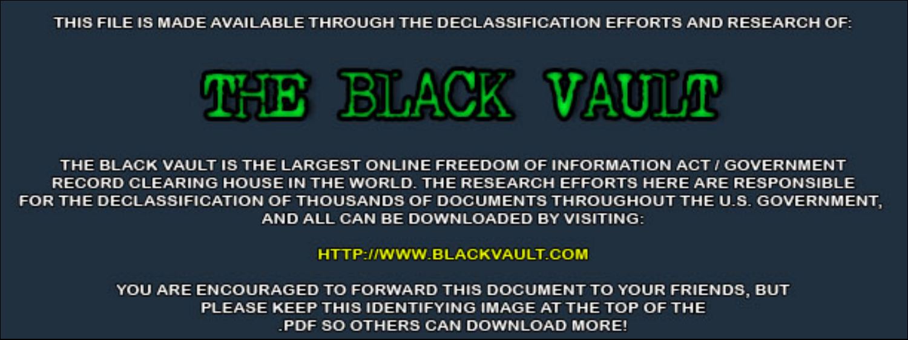THIS FILE IS MADE AVAILABLE THROUGH THE DECLASSIFICATION EFFORTS AND RESEARCH OF:



THE BLACK VAULT IS THE LARGEST ONLINE FREEDOM OF INFORMATION ACT / GOVERNMENT RECORD CLEARING HOUSE IN THE WORLD. THE RESEARCH EFFORTS HERE ARE RESPONSIBLE FOR THE DECLASSIFICATION OF THOUSANDS OF DOCUMENTS THROUGHOUT THE U.S. GOVERNMENT, AND ALL CAN BE DOWNLOADED BY VISITING:

**HTTP://WWW.BLACKVAULT.COM** 

YOU ARE ENCOURAGED TO FORWARD THIS DOCUMENT TO YOUR FRIENDS, BUT PLEASE KEEP THIS IDENTIFYING IMAGE AT THE TOP OF THE PDF SO OTHERS CAN DOWNLOAD MORE!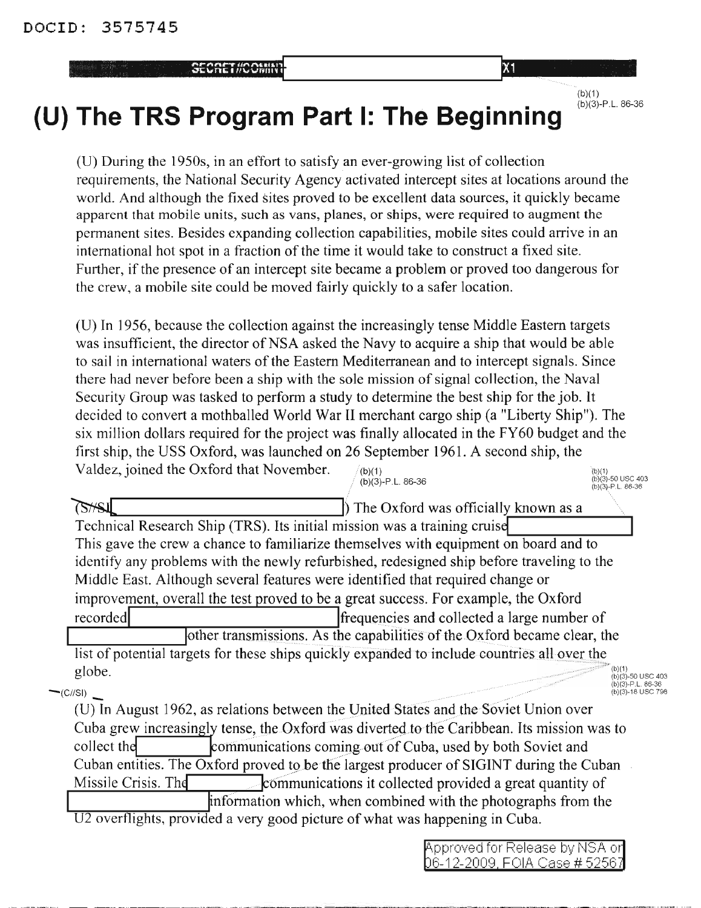SEORET HOOMING

 $(b)(1)$  $(b)(3) - P.L.86-36$ 

## **---------- (U) The TRS Program Part I: The Beginning**

(U) During the 1950s, in an effort to satisfy an ever-growing list of collection requirements, the National Security Agency activated intercept sites at locations around the world. And although the fixed sites proved to be excellent data sources, it quickly became apparent that mobile units, such as vans, planes, or ships, were required to augment the permanent sites. Besides expanding collection capabilities, mobile sites could arrive in an international hot spot in a fraction of the time it would take to construct a fixed site. Further, if the presence of an intercept site became a problem or proved too dangerous for the crew, a mobile site could be moved fairly quickly to a safer location.

(b)(1) (b)(3)-50 usc 403 (b)(3.)-P.L.86-36 (U) In 1956, because the collection against the increasingly tense Middle Eastern targets was insufficient, the director of NSA asked the Navy to acquire a ship that would be able to sail in international waters of the Eastern Mediterranean and to intercept signals. Since there had never before been a ship with the sole mission of signal collection, the Naval Security Group was tasked to perform a study to determine the best ship for the job. It decided to convert a mothballed World War II merchant cargo ship (a "Liberty Ship"). The six million dollars required for the project was finally allocated in the FY60 budget and the first ship, the USS Oxford, was launched on 26 September 1961. A second ship, the Valdez, joined the Oxford that November.  $/(\mathfrak{b})(1)$  $(b)(3) - P.L.86-36$ 

 $75/51$ **b**The Oxford was officially known as <sup>a</sup> Technical Research Ship (TRS). Its initial mission was a training cruise This gave the crew a chance to familiarize themselves with equipment on board and to identify any problems with the newly refurbished, redesigned ship before traveling to the Middle East. Although several features were identified that required change or improvement, overall the test proved to be a great success. For example, the Oxford recorded **frequencies** and collected a large number of other transmissions. As the capabilities of the Oxford became clear, the list of potential targets for these ships quickly expanded to include countries all over the  $\text{globe.}$  (b)(1)  $_{\text{(b)(3)-50 \text{ USC 403}}$ 

(b)(1)<br>(b)(3)-50 USC 403<br>(b)(3)-P.L. 86-36<br>(b)(3)-18 USC 798 -(eIISI) (b)(3)-18 usc <sup>798</sup>

--\_ .. ------\_ .. -\_ .. -\_ .. -- -\_ . (U) In August 1962, as relations between the United States and the Soviet Union over Cuba grew increasingly tense, the Oxford was diverted to the Caribbean. Its mission was to collect the **Following** collect the **Following** collect the communications coming out of Cuba, used by both Soviet and Cuban entities. The  $Ox$  ford proved to be the largest producer of SIGINT during the Cuban Missile Crisis. The communications it collected provided a great quantity of information which, when combined with the photographs from the  $1.12$  overflights, provided a very good picture of what was happening in Cuba.